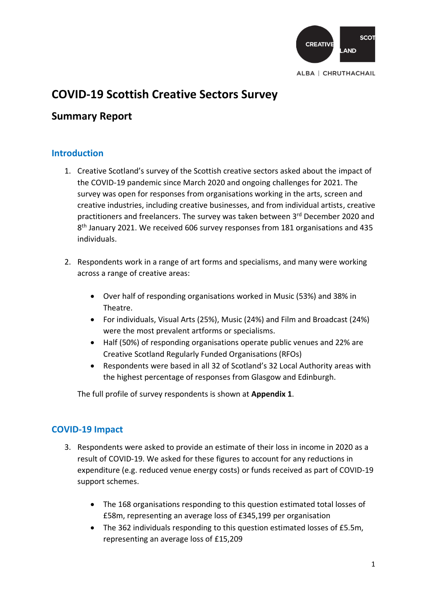

# **COVID-19 Scottish Creative Sectors Survey**

# **Summary Report**

### **Introduction**

- 1. Creative Scotland's survey of the Scottish creative sectors asked about the impact of the COVID-19 pandemic since March 2020 and ongoing challenges for 2021. The survey was open for responses from organisations working in the arts, screen and creative industries, including creative businesses, and from individual artists, creative practitioners and freelancers. The survey was taken between 3rd December 2020 and 8<sup>th</sup> January 2021. We received 606 survey responses from 181 organisations and 435 individuals.
- 2. Respondents work in a range of art forms and specialisms, and many were working across a range of creative areas:
	- Over half of responding organisations worked in Music (53%) and 38% in Theatre.
	- For individuals, Visual Arts (25%), Music (24%) and Film and Broadcast (24%) were the most prevalent artforms or specialisms.
	- Half (50%) of responding organisations operate public venues and 22% are Creative Scotland Regularly Funded Organisations (RFOs)
	- Respondents were based in all 32 of Scotland's 32 Local Authority areas with the highest percentage of responses from Glasgow and Edinburgh.

The full profile of survey respondents is shown at **Appendix 1**.

## **COVID-19 Impact**

- 3. Respondents were asked to provide an estimate of their loss in income in 2020 as a result of COVID-19. We asked for these figures to account for any reductions in expenditure (e.g. reduced venue energy costs) or funds received as part of COVID-19 support schemes.
	- The 168 organisations responding to this question estimated total losses of £58m, representing an average loss of £345,199 per organisation
	- The 362 individuals responding to this question estimated losses of £5.5m, representing an average loss of £15,209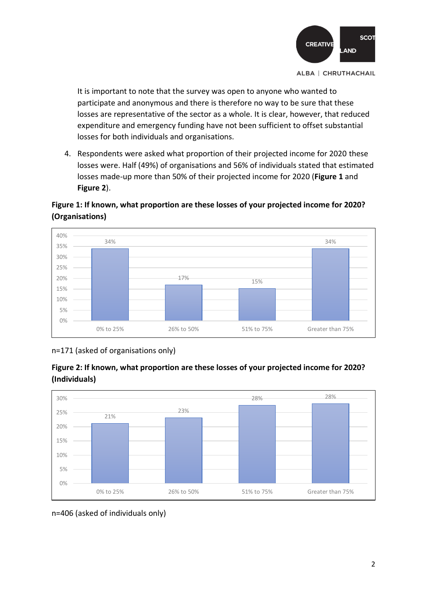

It is important to note that the survey was open to anyone who wanted to participate and anonymous and there is therefore no way to be sure that these losses are representative of the sector as a whole. It is clear, however, that reduced expenditure and emergency funding have not been sufficient to offset substantial losses for both individuals and organisations.

4. Respondents were asked what proportion of their projected income for 2020 these losses were. Half (49%) of organisations and 56% of individuals stated that estimated losses made-up more than 50% of their projected income for 2020 (**Figure 1** and **Figure 2**).

## **Figure 1: If known, what proportion are these losses of your projected income for 2020? (Organisations)**



n=171 (asked of organisations only)

![](_page_1_Figure_7.jpeg)

![](_page_1_Figure_8.jpeg)

n=406 (asked of individuals only)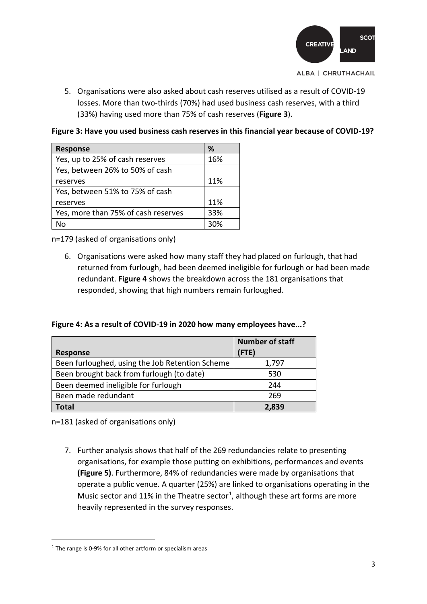![](_page_2_Figure_0.jpeg)

5. Organisations were also asked about cash reserves utilised as a result of COVID-19 losses. More than two-thirds (70%) had used business cash reserves, with a third (33%) having used more than 75% of cash reserves (**Figure 3**).

**Figure 3: Have you used business cash reserves in this financial year because of COVID-19?**

| <b>Response</b>                     | %   |
|-------------------------------------|-----|
| Yes, up to 25% of cash reserves     | 16% |
| Yes, between 26% to 50% of cash     |     |
| reserves                            | 11% |
| Yes, between 51% to 75% of cash     |     |
| reserves                            | 11% |
| Yes, more than 75% of cash reserves | 33% |
| N٥                                  | २०% |

n=179 (asked of organisations only)

6. Organisations were asked how many staff they had placed on furlough, that had returned from furlough, had been deemed ineligible for furlough or had been made redundant. **Figure 4** shows the breakdown across the 181 organisations that responded, showing that high numbers remain furloughed.

**Figure 4: As a result of COVID-19 in 2020 how many employees have...?**

|                                                 | <b>Number of staff</b> |
|-------------------------------------------------|------------------------|
| <b>Response</b>                                 | (FTE)                  |
| Been furloughed, using the Job Retention Scheme | 1,797                  |
| Been brought back from furlough (to date)       | 530                    |
| Been deemed ineligible for furlough             | 244                    |
| Been made redundant                             | 269                    |
| Total                                           | 2.839                  |

n=181 (asked of organisations only)

7. Further analysis shows that half of the 269 redundancies relate to presenting organisations, for example those putting on exhibitions, performances and events **(Figure 5)**. Furthermore, 84% of redundancies were made by organisations that operate a public venue. A quarter (25%) are linked to organisations operating in the Music sector and 11% in the Theatre sector<sup>1</sup>, although these art forms are more heavily represented in the survey responses.

<sup>&</sup>lt;sup>1</sup> The range is 0-9% for all other artform or specialism areas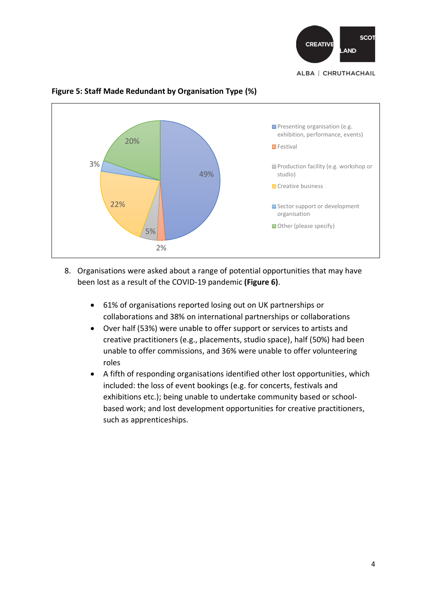![](_page_3_Picture_0.jpeg)

![](_page_3_Figure_1.jpeg)

### **Figure 5: Staff Made Redundant by Organisation Type (%)**

- 8. Organisations were asked about a range of potential opportunities that may have been lost as a result of the COVID-19 pandemic **(Figure 6)**.
	- 61% of organisations reported losing out on UK partnerships or collaborations and 38% on international partnerships or collaborations
	- Over half (53%) were unable to offer support or services to artists and creative practitioners (e.g., placements, studio space), half (50%) had been unable to offer commissions, and 36% were unable to offer volunteering roles
	- A fifth of responding organisations identified other lost opportunities, which included: the loss of event bookings (e.g. for concerts, festivals and exhibitions etc.); being unable to undertake community based or schoolbased work; and lost development opportunities for creative practitioners, such as apprenticeships.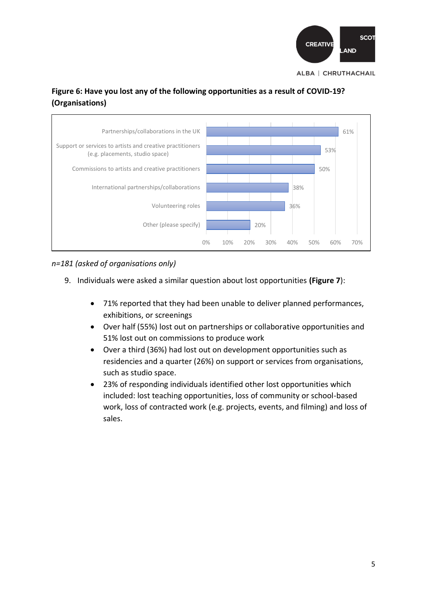![](_page_4_Picture_0.jpeg)

## **Figure 6: Have you lost any of the following opportunities as a result of COVID-19? (Organisations)**

![](_page_4_Figure_2.jpeg)

### *n=181 (asked of organisations only)*

- 9. Individuals were asked a similar question about lost opportunities **(Figure 7**):
	- 71% reported that they had been unable to deliver planned performances, exhibitions, or screenings
	- Over half (55%) lost out on partnerships or collaborative opportunities and 51% lost out on commissions to produce work
	- Over a third (36%) had lost out on development opportunities such as residencies and a quarter (26%) on support or services from organisations, such as studio space.
	- 23% of responding individuals identified other lost opportunities which included: lost teaching opportunities, loss of community or school-based work, loss of contracted work (e.g. projects, events, and filming) and loss of sales.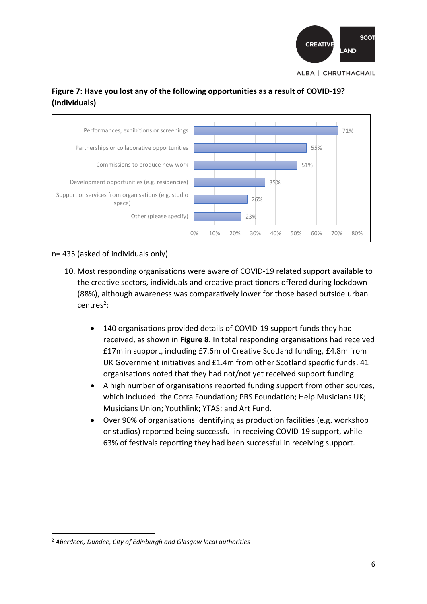![](_page_5_Picture_0.jpeg)

![](_page_5_Figure_1.jpeg)

![](_page_5_Figure_2.jpeg)

n= 435 (asked of individuals only)

- 10. Most responding organisations were aware of COVID-19 related support available to the creative sectors, individuals and creative practitioners offered during lockdown (88%), although awareness was comparatively lower for those based outside urban centres<sup>2</sup>:
	- 140 organisations provided details of COVID-19 support funds they had received, as shown in **Figure 8**. In total responding organisations had received £17m in support, including £7.6m of Creative Scotland funding, £4.8m from UK Government initiatives and £1.4m from other Scotland specific funds. 41 organisations noted that they had not/not yet received support funding.
	- A high number of organisations reported funding support from other sources, which included: the Corra Foundation; PRS Foundation; Help Musicians UK; Musicians Union; Youthlink; YTAS; and Art Fund.
	- Over 90% of organisations identifying as production facilities (e.g. workshop or studios) reported being successful in receiving COVID-19 support, while 63% of festivals reporting they had been successful in receiving support.

<sup>2</sup> *Aberdeen, Dundee, City of Edinburgh and Glasgow local authorities*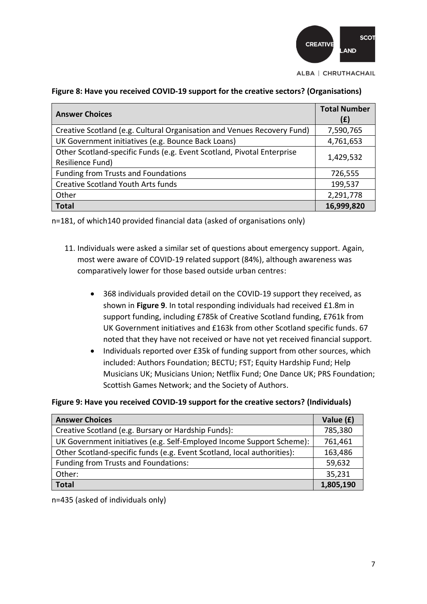![](_page_6_Figure_0.jpeg)

| <b>Answer Choices</b>                                                                      | <b>Total Number</b><br>(E) |
|--------------------------------------------------------------------------------------------|----------------------------|
| Creative Scotland (e.g. Cultural Organisation and Venues Recovery Fund)                    | 7,590,765                  |
| UK Government initiatives (e.g. Bounce Back Loans)                                         | 4,761,653                  |
| Other Scotland-specific Funds (e.g. Event Scotland, Pivotal Enterprise<br>Resilience Fund) | 1,429,532                  |
| <b>Funding from Trusts and Foundations</b>                                                 | 726,555                    |
| <b>Creative Scotland Youth Arts funds</b>                                                  | 199,537                    |
| Other                                                                                      | 2,291,778                  |
| <b>Total</b>                                                                               | 16,999,820                 |

#### **Figure 8: Have you received COVID-19 support for the creative sectors? (Organisations)**

n=181, of which140 provided financial data (asked of organisations only)

- 11. Individuals were asked a similar set of questions about emergency support. Again, most were aware of COVID-19 related support (84%), although awareness was comparatively lower for those based outside urban centres:
	- 368 individuals provided detail on the COVID-19 support they received, as shown in **Figure 9**. In total responding individuals had received £1.8m in support funding, including £785k of Creative Scotland funding, £761k from UK Government initiatives and £163k from other Scotland specific funds. 67 noted that they have not received or have not yet received financial support.
	- Individuals reported over £35k of funding support from other sources, which included: Authors Foundation; BECTU; FST; Equity Hardship Fund; Help Musicians UK; Musicians Union; Netflix Fund; One Dance UK; PRS Foundation; Scottish Games Network; and the Society of Authors.

#### **Figure 9: Have you received COVID-19 support for the creative sectors? (Individuals)**

| <b>Answer Choices</b>                                                   | Value (£) |
|-------------------------------------------------------------------------|-----------|
| Creative Scotland (e.g. Bursary or Hardship Funds):                     | 785,380   |
| UK Government initiatives (e.g. Self-Employed Income Support Scheme):   | 761,461   |
| Other Scotland-specific funds (e.g. Event Scotland, local authorities): | 163,486   |
| Funding from Trusts and Foundations:                                    | 59,632    |
| Other:                                                                  | 35,231    |
| <b>Total</b>                                                            | 1,805,190 |

n=435 (asked of individuals only)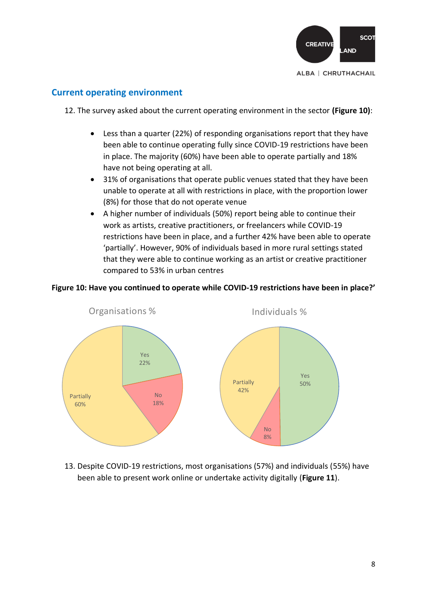![](_page_7_Picture_0.jpeg)

## **Current operating environment**

12. The survey asked about the current operating environment in the sector **(Figure 10)**:

- Less than a quarter (22%) of responding organisations report that they have been able to continue operating fully since COVID-19 restrictions have been in place. The majority (60%) have been able to operate partially and 18% have not being operating at all.
- 31% of organisations that operate public venues stated that they have been unable to operate at all with restrictions in place, with the proportion lower (8%) for those that do not operate venue
- A higher number of individuals (50%) report being able to continue their work as artists, creative practitioners, or freelancers while COVID-19 restrictions have been in place, and a further 42% have been able to operate 'partially'. However, 90% of individuals based in more rural settings stated that they were able to continue working as an artist or creative practitioner compared to 53% in urban centres

### **Figure 10: Have you continued to operate while COVID-19 restrictions have been in place?'**

![](_page_7_Figure_8.jpeg)

13. Despite COVID-19 restrictions, most organisations (57%) and individuals (55%) have been able to present work online or undertake activity digitally (**Figure 11**).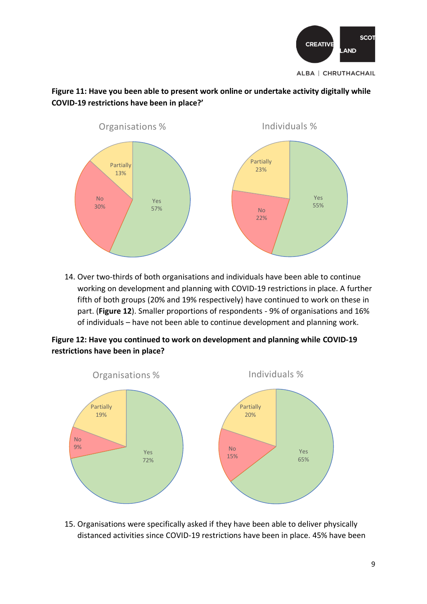![](_page_8_Figure_0.jpeg)

### **Figure 11: Have you been able to present work online or undertake activity digitally while COVID-19 restrictions have been in place?'**

![](_page_8_Figure_2.jpeg)

14. Over two-thirds of both organisations and individuals have been able to continue working on development and planning with COVID-19 restrictions in place. A further fifth of both groups (20% and 19% respectively) have continued to work on these in part. (**Figure 12**). Smaller proportions of respondents - 9% of organisations and 16% of individuals – have not been able to continue development and planning work.

**Figure 12: Have you continued to work on development and planning while COVID-19 restrictions have been in place?**

![](_page_8_Figure_5.jpeg)

15. Organisations were specifically asked if they have been able to deliver physically distanced activities since COVID-19 restrictions have been in place. 45% have been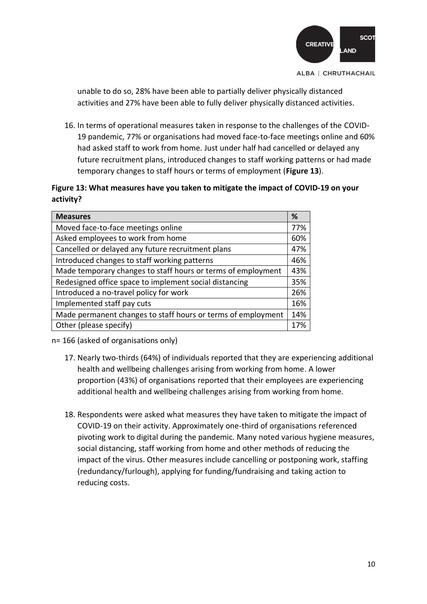![](_page_9_Figure_0.jpeg)

unable to do so, 28% have been able to partially deliver physically distanced activities and 27% have been able to fully deliver physically distanced activities.

16. In terms of operational measures taken in response to the challenges of the COVID-19 pandemic, 77% or organisations had moved face-to-face meetings online and 60% had asked staff to work from home. Just under half had cancelled or delayed any future recruitment plans, introduced changes to staff working patterns or had made temporary changes to staff hours or terms of employment (**Figure 13**).

### **Figure 13: What measures have you taken to mitigate the impact of COVID-19 on your activity?**

| <b>Measures</b>                                              | %   |
|--------------------------------------------------------------|-----|
| Moved face-to-face meetings online                           | 77% |
| Asked employees to work from home                            | 60% |
| Cancelled or delayed any future recruitment plans            | 47% |
| Introduced changes to staff working patterns                 | 46% |
| Made temporary changes to staff hours or terms of employment | 43% |
| Redesigned office space to implement social distancing       | 35% |
| Introduced a no-travel policy for work                       | 26% |
| Implemented staff pay cuts                                   | 16% |
| Made permanent changes to staff hours or terms of employment | 14% |
| Other (please specify)                                       | 17% |

n= 166 (asked of organisations only)

- 17. Nearly two-thirds (64%) of individuals reported that they are experiencing additional health and wellbeing challenges arising from working from home. A lower proportion (43%) of organisations reported that their employees are experiencing additional health and wellbeing challenges arising from working from home.
- 18. Respondents were asked what measures they have taken to mitigate the impact of COVID-19 on their activity. Approximately one-third of organisations referenced pivoting work to digital during the pandemic. Many noted various hygiene measures, social distancing, staff working from home and other methods of reducing the impact of the virus. Other measures include cancelling or postponing work, staffing (redundancy/furlough), applying for funding/fundraising and taking action to reducing costs.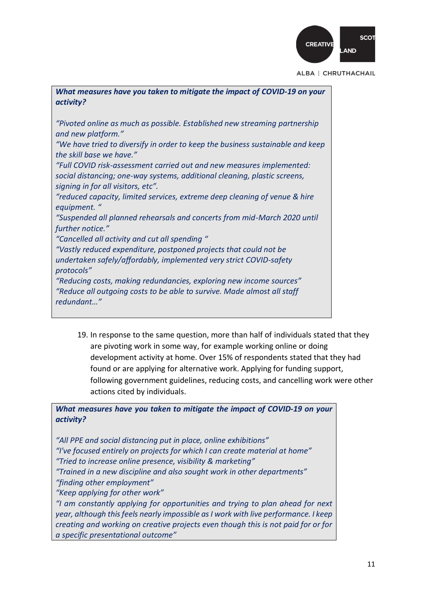![](_page_10_Picture_0.jpeg)

| What measures have you taken to mitigate the impact of COVID-19 on your<br>activity?                                                                                                     |
|------------------------------------------------------------------------------------------------------------------------------------------------------------------------------------------|
| "Pivoted online as much as possible. Established new streaming partnership<br>and new platform."                                                                                         |
| "We have tried to diversify in order to keep the business sustainable and keep<br>the skill base we have."                                                                               |
| "Full COVID risk-assessment carried out and new measures implemented:<br>social distancing; one-way systems, additional cleaning, plastic screens,<br>signing in for all visitors, etc". |
| "reduced capacity, limited services, extreme deep cleaning of venue & hire<br>equipment. "                                                                                               |
| "Suspended all planned rehearsals and concerts from mid-March 2020 until<br>further notice."                                                                                             |
| "Cancelled all activity and cut all spending"                                                                                                                                            |
| "Vastly reduced expenditure, postponed projects that could not be                                                                                                                        |
| undertaken safely/affordably, implemented very strict COVID-safety<br>protocols"                                                                                                         |
| "Reducing costs, making redundancies, exploring new income sources"                                                                                                                      |
| "Reduce all outgoing costs to be able to survive. Made almost all staff<br>redundant"                                                                                                    |

19. In response to the same question, more than half of individuals stated that they are pivoting work in some way, for example working online or doing development activity at home. Over 15% of respondents stated that they had found or are applying for alternative work. Applying for funding support, following government guidelines, reducing costs, and cancelling work were other actions cited by individuals.

*What measures have you taken to mitigate the impact of COVID-19 on your activity?*

*"All PPE and social distancing put in place, online exhibitions" "I've focused entirely on projects for which I can create material at home" "Tried to increase online presence, visibility & marketing" "Trained in a new discipline and also sought work in other departments" "finding other employment" "Keep applying for other work" "I am constantly applying for opportunities and trying to plan ahead for next year, although this feels nearly impossible as I work with live performance. I keep creating and working on creative projects even though this is not paid for or for a specific presentational outcome"*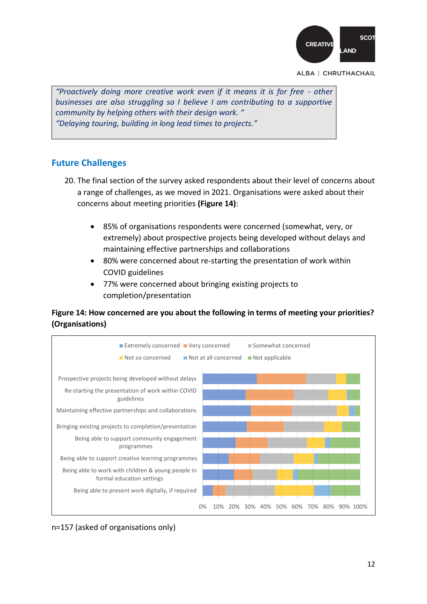![](_page_11_Figure_0.jpeg)

*"Proactively doing more creative work even if it means it is for free - other businesses are also struggling so I believe I am contributing to a supportive community by helping others with their design work. " "Delaying touring, building in long lead times to projects."*

### **Future Challenges**

- 20. The final section of the survey asked respondents about their level of concerns about a range of challenges, as we moved in 2021. Organisations were asked about their concerns about meeting priorities **(Figure 14)**:
	- 85% of organisations respondents were concerned (somewhat, very, or extremely) about prospective projects being developed without delays and maintaining effective partnerships and collaborations
	- 80% were concerned about re-starting the presentation of work within COVID guidelines
	- 77% were concerned about bringing existing projects to completion/presentation

### **Figure 14: How concerned are you about the following in terms of meeting your priorities? (Organisations)**

![](_page_11_Figure_9.jpeg)

n=157 (asked of organisations only)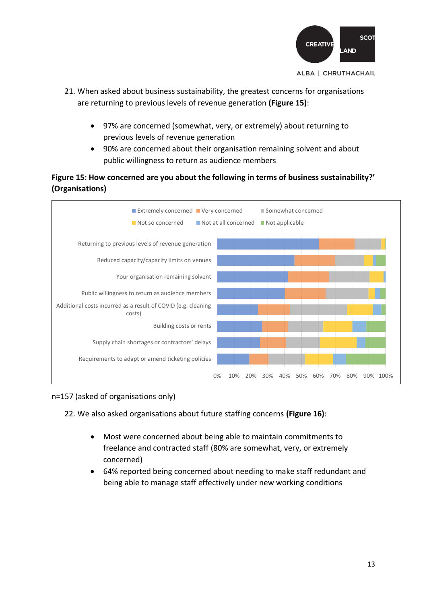![](_page_12_Figure_0.jpeg)

- 21. When asked about business sustainability, the greatest concerns for organisations are returning to previous levels of revenue generation **(Figure 15)**:
	- 97% are concerned (somewhat, very, or extremely) about returning to previous levels of revenue generation
	- 90% are concerned about their organisation remaining solvent and about public willingness to return as audience members

## **Figure 15: How concerned are you about the following in terms of business sustainability?' (Organisations)**

![](_page_12_Figure_6.jpeg)

### n=157 (asked of organisations only)

22. We also asked organisations about future staffing concerns **(Figure 16)**:

- Most were concerned about being able to maintain commitments to freelance and contracted staff (80% are somewhat, very, or extremely concerned)
- 64% reported being concerned about needing to make staff redundant and being able to manage staff effectively under new working conditions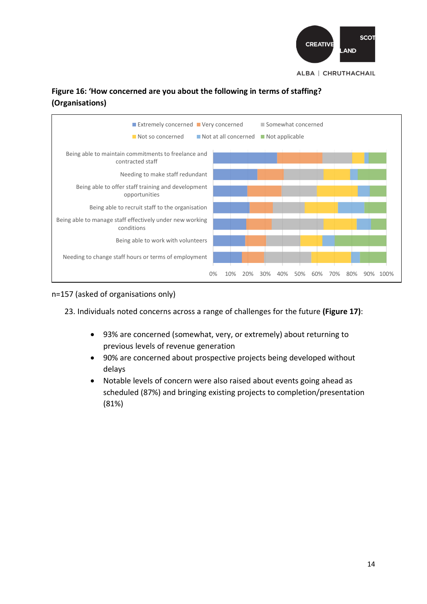![](_page_13_Picture_0.jpeg)

## **Figure 16: 'How concerned are you about the following in terms of staffing? (Organisations)**

![](_page_13_Figure_2.jpeg)

### n=157 (asked of organisations only)

23. Individuals noted concerns across a range of challenges for the future **(Figure 17)**:

- 93% are concerned (somewhat, very, or extremely) about returning to previous levels of revenue generation
- 90% are concerned about prospective projects being developed without delays
- Notable levels of concern were also raised about events going ahead as scheduled (87%) and bringing existing projects to completion/presentation (81%)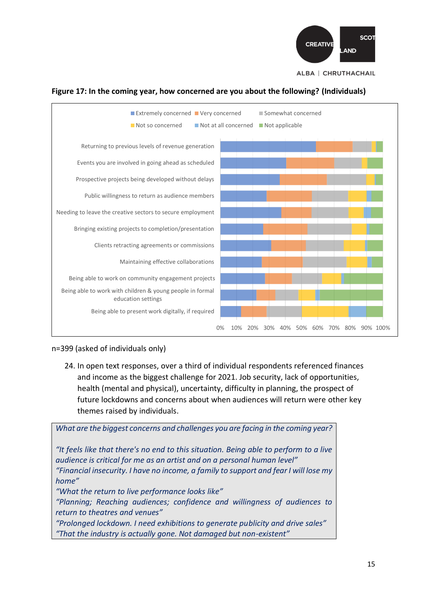![](_page_14_Figure_0.jpeg)

![](_page_14_Figure_1.jpeg)

#### **Figure 17: In the coming year, how concerned are you about the following? (Individuals)**

#### n=399 (asked of individuals only)

24. In open text responses, over a third of individual respondents referenced finances and income as the biggest challenge for 2021. Job security, lack of opportunities, health (mental and physical), uncertainty, difficulty in planning, the prospect of future lockdowns and concerns about when audiences will return were other key themes raised by individuals.

*What are the biggest concerns and challenges you are facing in the coming year? "It feels like that there's no end to this situation. Being able to perform to a live audience is critical for me as an artist and on a personal human level" "Financial insecurity. I have no income, a family to support and fear I will lose my home" "What the return to live performance looks like" "Planning; Reaching audiences; confidence and willingness of audiences to return to theatres and venues" "Prolonged lockdown. I need exhibitions to generate publicity and drive sales" "That the industry is actually gone. Not damaged but non-existent"*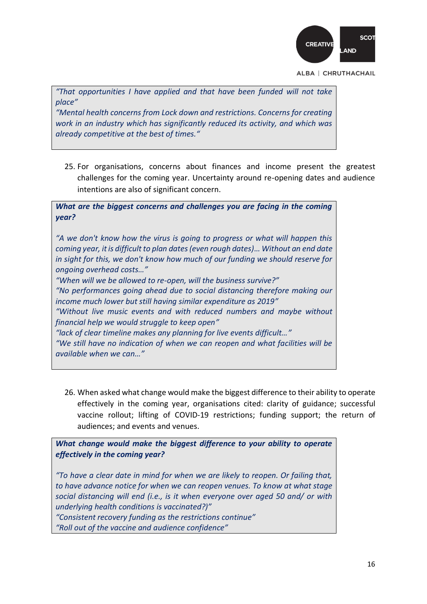![](_page_15_Picture_0.jpeg)

*"That opportunities I have applied and that have been funded will not take place"*

*"Mental health concerns from Lock down and restrictions. Concerns for creating work in an industry which has significantly reduced its activity, and which was already competitive at the best of times."*

25. For organisations, concerns about finances and income present the greatest challenges for the coming year. Uncertainty around re-opening dates and audience intentions are also of significant concern.

*What are the biggest concerns and challenges you are facing in the coming year?*

*"A we don't know how the virus is going to progress or what will happen this coming year, it is difficult to plan dates (even rough dates)… Without an end date in sight for this, we don't know how much of our funding we should reserve for ongoing overhead costs…" "When will we be allowed to re-open, will the business survive?" "No performances going ahead due to social distancing therefore making our income much lower but still having similar expenditure as 2019"*

*"Without live music events and with reduced numbers and maybe without financial help we would struggle to keep open"*

*"lack of clear timeline makes any planning for live events difficult…"*

*"We still have no indication of when we can reopen and what facilities will be available when we can…"*

26. When asked what change would make the biggest difference to their ability to operate effectively in the coming year, organisations cited: clarity of guidance; successful vaccine rollout; lifting of COVID-19 restrictions; funding support; the return of audiences; and events and venues.

*What change would make the biggest difference to your ability to operate effectively in the coming year?*

*"To have a clear date in mind for when we are likely to reopen. Or failing that, to have advance notice for when we can reopen venues. To know at what stage social distancing will end (i.e., is it when everyone over aged 50 and/ or with underlying health conditions is vaccinated?)" "Consistent recovery funding as the restrictions continue"*

*"Roll out of the vaccine and audience confidence"*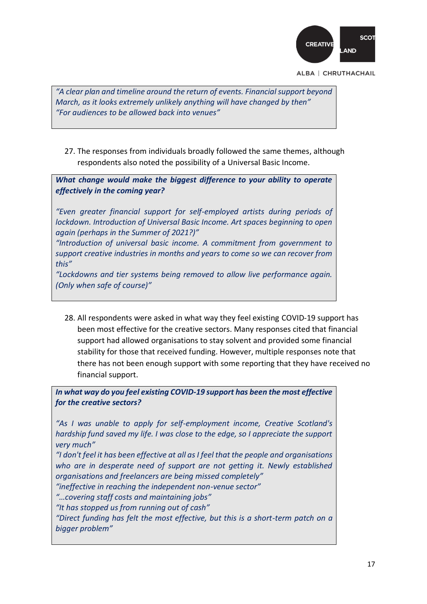![](_page_16_Figure_0.jpeg)

*"A clear plan and timeline around the return of events. Financial support beyond March, as it looks extremely unlikely anything will have changed by then" "For audiences to be allowed back into venues"*

27. The responses from individuals broadly followed the same themes, although respondents also noted the possibility of a Universal Basic Income.

*What change would make the biggest difference to your ability to operate effectively in the coming year?*

*"Even greater financial support for self-employed artists during periods of lockdown. Introduction of Universal Basic Income. Art spaces beginning to open again (perhaps in the Summer of 2021?)"*

*"Introduction of universal basic income. A commitment from government to support creative industries in months and years to come so we can recover from this"*

*"Lockdowns and tier systems being removed to allow live performance again. (Only when safe of course)"*

28. All respondents were asked in what way they feel existing COVID-19 support has been most effective for the creative sectors. Many responses cited that financial support had allowed organisations to stay solvent and provided some financial stability for those that received funding. However, multiple responses note that there has not been enough support with some reporting that they have received no financial support.

*In what way do you feel existing COVID-19 support has been the most effective for the creative sectors?*

*"As I was unable to apply for self-employment income, Creative Scotland's hardship fund saved my life. I was close to the edge, so I appreciate the support very much"*

*"I don't feel it has been effective at all as I feel that the people and organisations who are in desperate need of support are not getting it. Newly established organisations and freelancers are being missed completely"*

*"ineffective in reaching the independent non-venue sector"*

*"…covering staff costs and maintaining jobs"*

*"It has stopped us from running out of cash"*

*"Direct funding has felt the most effective, but this is a short-term patch on a bigger problem"*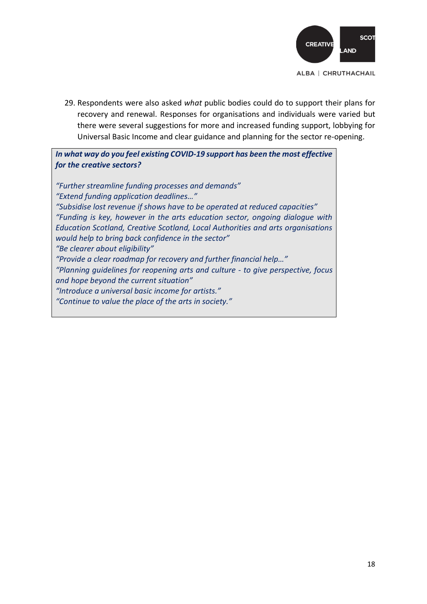![](_page_17_Picture_0.jpeg)

29. Respondents were also asked *what* public bodies could do to support their plans for recovery and renewal. Responses for organisations and individuals were varied but there were several suggestions for more and increased funding support, lobbying for Universal Basic Income and clear guidance and planning for the sector re-opening.

*In what way do you feel existing COVID-19 support has been the most effective for the creative sectors?*

*"Further streamline funding processes and demands" "Extend funding application deadlines…" "Subsidise lost revenue if shows have to be operated at reduced capacities" "Funding is key, however in the arts education sector, ongoing dialogue with Education Scotland, Creative Scotland, Local Authorities and arts organisations would help to bring back confidence in the sector" "Be clearer about eligibility" "Provide a clear roadmap for recovery and further financial help…" "Planning guidelines for reopening arts and culture - to give perspective, focus and hope beyond the current situation" "Introduce a universal basic income for artists." "Continue to value the place of the arts in society."*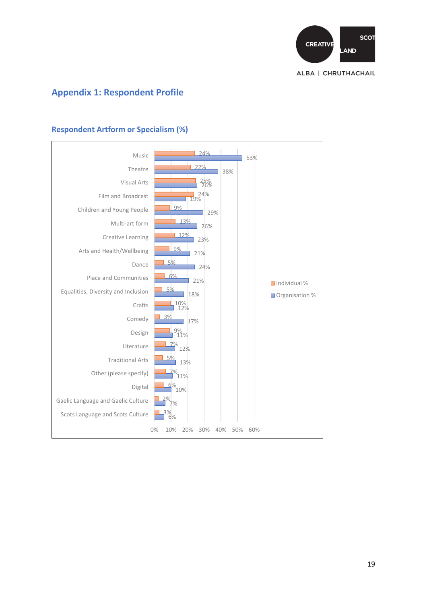![](_page_18_Figure_0.jpeg)

# **Appendix 1: Respondent Profile**

![](_page_18_Figure_2.jpeg)

### **Respondent Artform or Specialism (%)**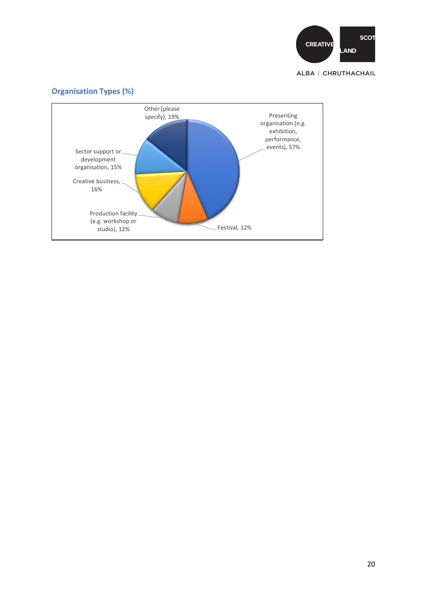![](_page_19_Picture_0.jpeg)

![](_page_19_Figure_2.jpeg)

#### 20